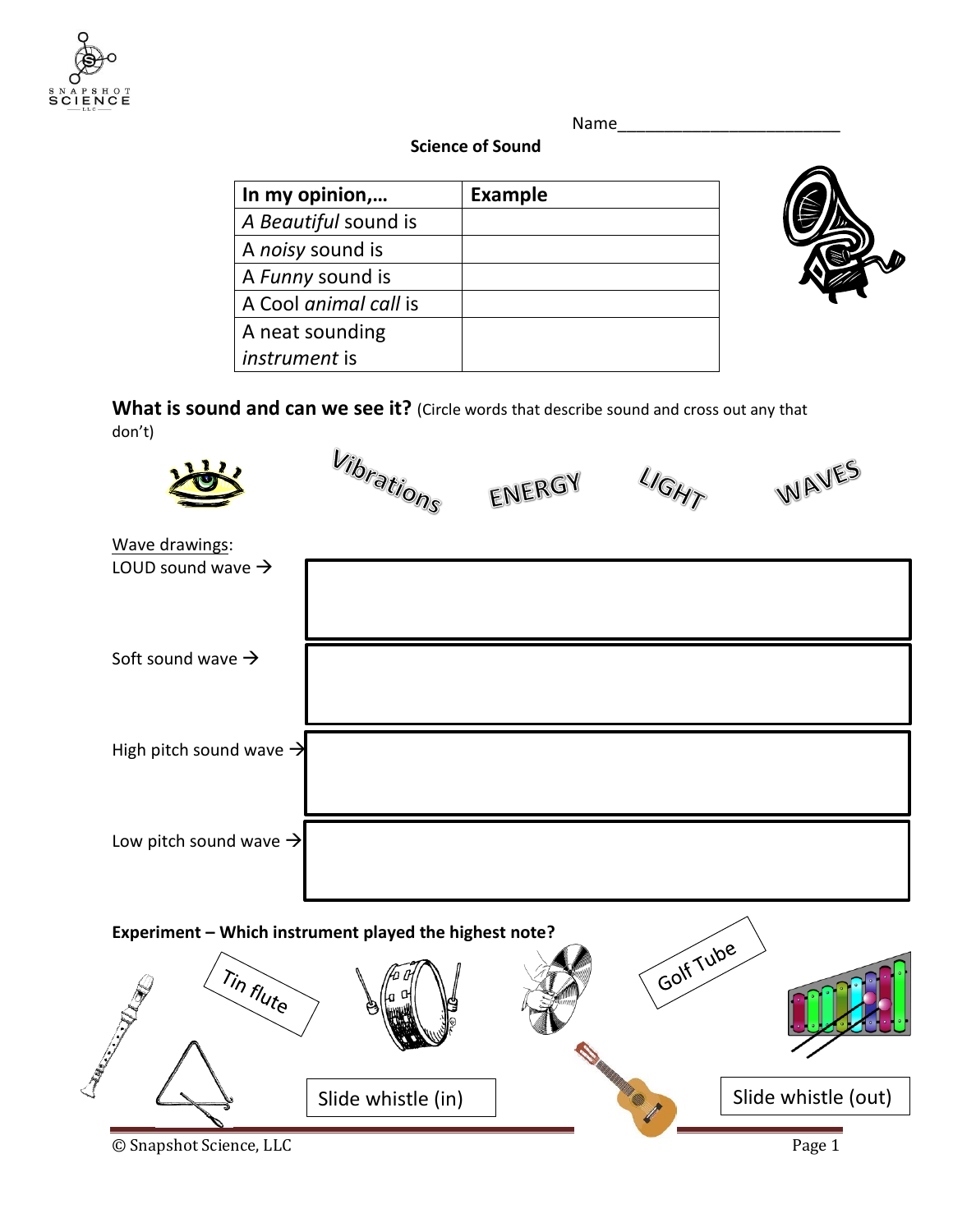

Name\_\_\_\_\_\_\_\_\_\_\_\_\_\_\_\_\_\_\_\_\_\_\_\_

## **Science of Sound**

| In my opinion,        | <b>Example</b> |
|-----------------------|----------------|
| A Beautiful sound is  |                |
| A noisy sound is      |                |
| A Funny sound is      |                |
| A Cool animal call is |                |
| A neat sounding       |                |
| instrument is         |                |



What is sound and can we see it? (Circle words that describe sound and cross out any that don't)